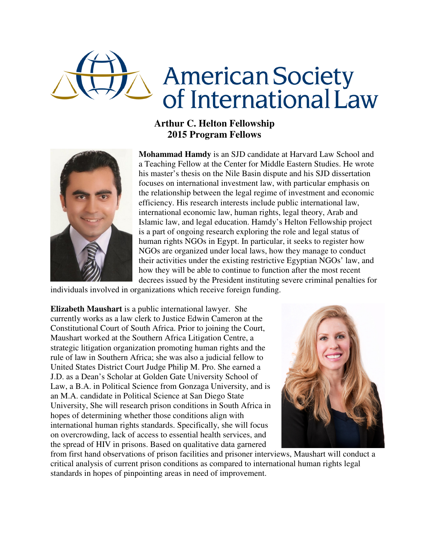

## **Arthur C. Helton Fellowship 2015 Program Fellows**



**Mohammad Hamdy** is an SJD candidate at Harvard Law School and a Teaching Fellow at the Center for Middle Eastern Studies. He wrote his master's thesis on the Nile Basin dispute and his SJD dissertation focuses on international investment law, with particular emphasis on the relationship between the legal regime of investment and economic efficiency. His research interests include public international law, international economic law, human rights, legal theory, Arab and Islamic law, and legal education. Hamdy's Helton Fellowship project is a part of ongoing research exploring the role and legal status of human rights NGOs in Egypt. In particular, it seeks to register how NGOs are organized under local laws, how they manage to conduct their activities under the existing restrictive Egyptian NGOs' law, and how they will be able to continue to function after the most recent decrees issued by the President instituting severe criminal penalties for

individuals involved in organizations which receive foreign funding.

**Elizabeth Maushart** is a public international lawyer. She currently works as a law clerk to Justice Edwin Cameron at the Constitutional Court of South Africa. Prior to joining the Court, Maushart worked at the Southern Africa Litigation Centre, a strategic litigation organization promoting human rights and the rule of law in Southern Africa; she was also a judicial fellow to United States District Court Judge Philip M. Pro. She earned a J.D. as a Dean's Scholar at Golden Gate University School of Law, a B.A. in Political Science from Gonzaga University, and is an M.A. candidate in Political Science at San Diego State University, She will research prison conditions in South Africa in hopes of determining whether those conditions align with international human rights standards. Specifically, she will focus on overcrowding, lack of access to essential health services, and the spread of HIV in prisons. Based on qualitative data garnered



from first hand observations of prison facilities and prisoner interviews, Maushart will conduct a critical analysis of current prison conditions as compared to international human rights legal standards in hopes of pinpointing areas in need of improvement.